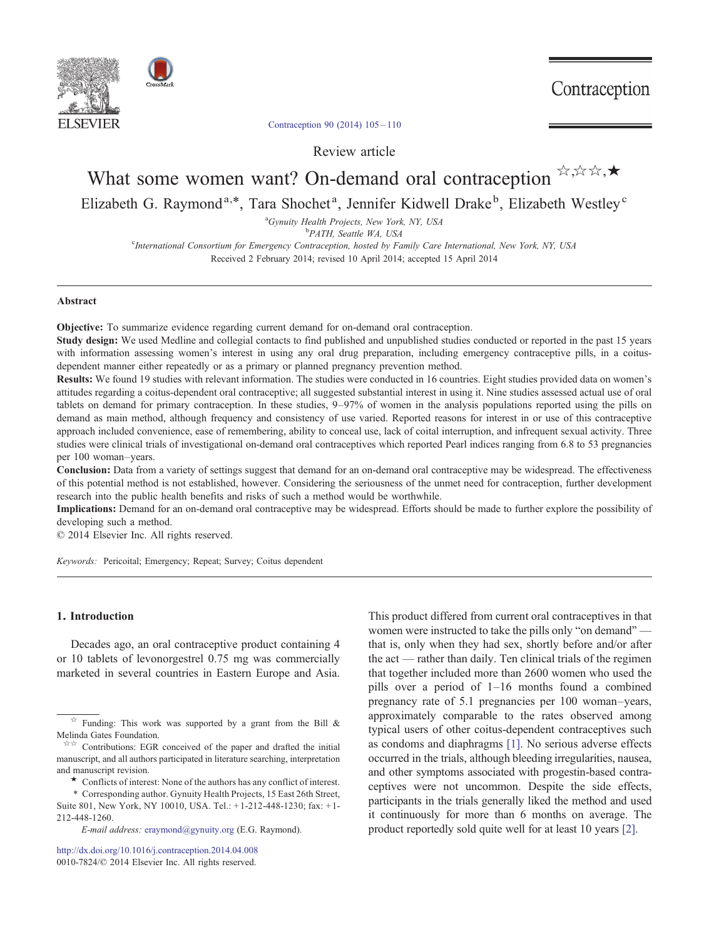



# [Contraception 90 \(2014\) 105](http://dx.doi.org/10.1016/j.contraception.2014.04.008)–110

Review article

# What some women want? On-demand oral contraception  $\forall x, x \in \mathcal{A}$ Elizabeth G. Raymond<sup>a,\*</sup>, Tara Shochet<sup>a</sup>, Jennifer Kidwell Drake<sup>b</sup>, Elizabeth Westley<sup>c</sup>

<sup>a</sup>Gynuity Health Projects, New York, NY, USA<br><sup>b</sup>PATH Seattle WA USA

<sup>b</sup>PATH, Seattle WA, USA

c International Consortium for Emergency Contraception, hosted by Family Care International, New York, NY, USA Received 2 February 2014; revised 10 April 2014; accepted 15 April 2014

#### Abstract

Objective: To summarize evidence regarding current demand for on-demand oral contraception.

Study design: We used Medline and collegial contacts to find published and unpublished studies conducted or reported in the past 15 years with information assessing women's interest in using any oral drug preparation, including emergency contraceptive pills, in a coitusdependent manner either repeatedly or as a primary or planned pregnancy prevention method.

Results: We found 19 studies with relevant information. The studies were conducted in 16 countries. Eight studies provided data on women's attitudes regarding a coitus-dependent oral contraceptive; all suggested substantial interest in using it. Nine studies assessed actual use of oral tablets on demand for primary contraception. In these studies, 9–97% of women in the analysis populations reported using the pills on demand as main method, although frequency and consistency of use varied. Reported reasons for interest in or use of this contraceptive approach included convenience, ease of remembering, ability to conceal use, lack of coital interruption, and infrequent sexual activity. Three studies were clinical trials of investigational on-demand oral contraceptives which reported Pearl indices ranging from 6.8 to 53 pregnancies per 100 woman–years.

Conclusion: Data from a variety of settings suggest that demand for an on-demand oral contraceptive may be widespread. The effectiveness of this potential method is not established, however. Considering the seriousness of the unmet need for contraception, further development research into the public health benefits and risks of such a method would be worthwhile.

Implications: Demand for an on-demand oral contraceptive may be widespread. Efforts should be made to further explore the possibility of developing such a method.

© 2014 Elsevier Inc. All rights reserved.

Keywords: Pericoital; Emergency; Repeat; Survey; Coitus dependent

## 1. Introduction

Decades ago, an oral contraceptive product containing 4 or 10 tablets of levonorgestrel 0.75 mg was commercially marketed in several countries in Eastern Europe and Asia.

⁎ Corresponding author. Gynuity Health Projects, 15 East 26th Street, Suite 801, New York, NY 10010, USA. Tel.: + 1-212-448-1230; fax: + 1- 212-448-1260.

E-mail address: [eraymond@gynuity.org](mailto:eraymond@gynuity.org) (E.G. Raymond).

<http://dx.doi.org/10.1016/j.contraception.2014.04.008> [0010-7824/© 2014 Elsevier Inc. All rights reserved.](http://dx.doi.org/10.1016/j.contraception.2014.04.008)

This product differed from current oral contraceptives in that women were instructed to take the pills only "on demand" that is, only when they had sex, shortly before and/or after the act — rather than daily. Ten clinical trials of the regimen that together included more than 2600 women who used the pills over a period of 1–16 months found a combined pregnancy rate of 5.1 pregnancies per 100 woman–years, approximately comparable to the rates observed among typical users of other coitus-dependent contraceptives such as condoms and diaphragms [\[1\].](#page-5-0) No serious adverse effects occurred in the trials, although bleeding irregularities, nausea, and other symptoms associated with progestin-based contraceptives were not uncommon. Despite the side effects, participants in the trials generally liked the method and used it continuously for more than 6 months on average. The product reportedly sold quite well for at least 10 years [\[2\]](#page-5-0).

 $\overrightarrow{x}$  Funding: This work was supported by a grant from the Bill & Melinda Gates Foundation.

<sup>☆☆</sup> Contributions: EGR conceived of the paper and drafted the initial manuscript, and all authors participated in literature searching, interpretation and manuscript revision. ★ Conflicts of interest: None of the authors has any conflict of interest.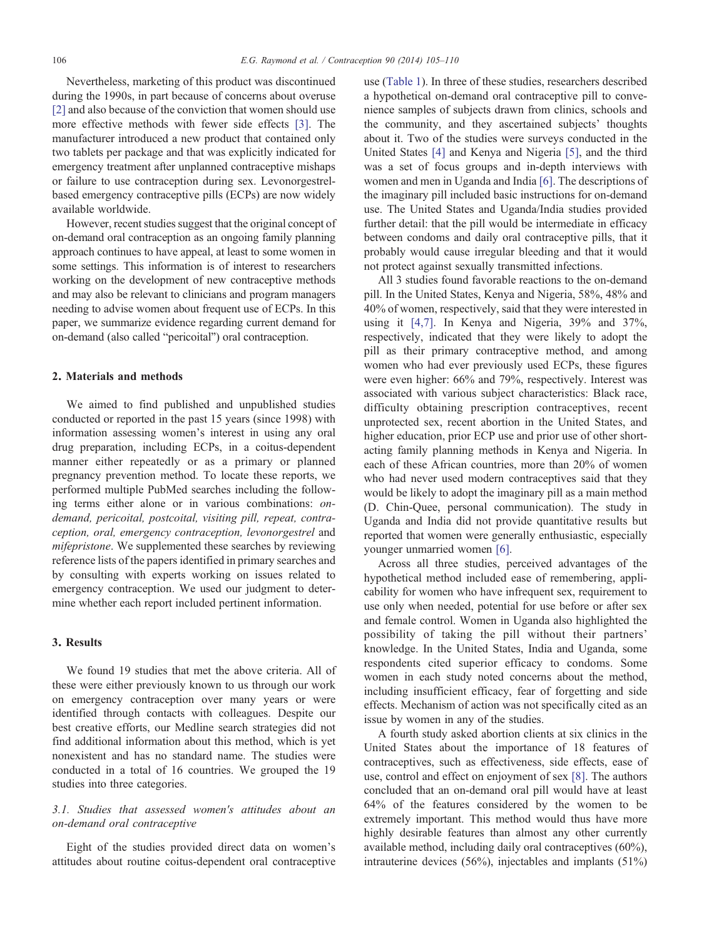Nevertheless, marketing of this product was discontinued during the 1990s, in part because of concerns about overuse [\[2\]](#page-5-0) and also because of the conviction that women should use more effective methods with fewer side effects [\[3\]](#page-5-0). The manufacturer introduced a new product that contained only two tablets per package and that was explicitly indicated for emergency treatment after unplanned contraceptive mishaps or failure to use contraception during sex. Levonorgestrelbased emergency contraceptive pills (ECPs) are now widely available worldwide.

However, recent studies suggest that the original concept of on-demand oral contraception as an ongoing family planning approach continues to have appeal, at least to some women in some settings. This information is of interest to researchers working on the development of new contraceptive methods and may also be relevant to clinicians and program managers needing to advise women about frequent use of ECPs. In this paper, we summarize evidence regarding current demand for on-demand (also called "pericoital") oral contraception.

### 2. Materials and methods

We aimed to find published and unpublished studies conducted or reported in the past 15 years (since 1998) with information assessing women's interest in using any oral drug preparation, including ECPs, in a coitus-dependent manner either repeatedly or as a primary or planned pregnancy prevention method. To locate these reports, we performed multiple PubMed searches including the following terms either alone or in various combinations: ondemand, pericoital, postcoital, visiting pill, repeat, contraception, oral, emergency contraception, levonorgestrel and mifepristone. We supplemented these searches by reviewing reference lists of the papers identified in primary searches and by consulting with experts working on issues related to emergency contraception. We used our judgment to determine whether each report included pertinent information.

# 3. Results

We found 19 studies that met the above criteria. All of these were either previously known to us through our work on emergency contraception over many years or were identified through contacts with colleagues. Despite our best creative efforts, our Medline search strategies did not find additional information about this method, which is yet nonexistent and has no standard name. The studies were conducted in a total of 16 countries. We grouped the 19 studies into three categories.

# 3.1. Studies that assessed women's attitudes about an on-demand oral contraceptive

Eight of the studies provided direct data on women's attitudes about routine coitus-dependent oral contraceptive

use ([Table 1\)](#page-2-0). In three of these studies, researchers described a hypothetical on-demand oral contraceptive pill to convenience samples of subjects drawn from clinics, schools and the community, and they ascertained subjects' thoughts about it. Two of the studies were surveys conducted in the United States [\[4\]](#page-5-0) and Kenya and Nigeria [\[5\]](#page-5-0), and the third was a set of focus groups and in-depth interviews with women and men in Uganda and India [\[6\]](#page-5-0). The descriptions of the imaginary pill included basic instructions for on-demand use. The United States and Uganda/India studies provided further detail: that the pill would be intermediate in efficacy between condoms and daily oral contraceptive pills, that it probably would cause irregular bleeding and that it would not protect against sexually transmitted infections.

All 3 studies found favorable reactions to the on-demand pill. In the United States, Kenya and Nigeria, 58%, 48% and 40% of women, respectively, said that they were interested in using it [\[4,7\].](#page-5-0) In Kenya and Nigeria, 39% and 37%, respectively, indicated that they were likely to adopt the pill as their primary contraceptive method, and among women who had ever previously used ECPs, these figures were even higher: 66% and 79%, respectively. Interest was associated with various subject characteristics: Black race, difficulty obtaining prescription contraceptives, recent unprotected sex, recent abortion in the United States, and higher education, prior ECP use and prior use of other shortacting family planning methods in Kenya and Nigeria. In each of these African countries, more than 20% of women who had never used modern contraceptives said that they would be likely to adopt the imaginary pill as a main method (D. Chin-Quee, personal communication). The study in Uganda and India did not provide quantitative results but reported that women were generally enthusiastic, especially younger unmarried women [\[6\].](#page-5-0)

Across all three studies, perceived advantages of the hypothetical method included ease of remembering, applicability for women who have infrequent sex, requirement to use only when needed, potential for use before or after sex and female control. Women in Uganda also highlighted the possibility of taking the pill without their partners' knowledge. In the United States, India and Uganda, some respondents cited superior efficacy to condoms. Some women in each study noted concerns about the method, including insufficient efficacy, fear of forgetting and side effects. Mechanism of action was not specifically cited as an issue by women in any of the studies.

A fourth study asked abortion clients at six clinics in the United States about the importance of 18 features of contraceptives, such as effectiveness, side effects, ease of use, control and effect on enjoyment of sex [\[8\].](#page-5-0) The authors concluded that an on-demand oral pill would have at least 64% of the features considered by the women to be extremely important. This method would thus have more highly desirable features than almost any other currently available method, including daily oral contraceptives (60%), intrauterine devices (56%), injectables and implants (51%)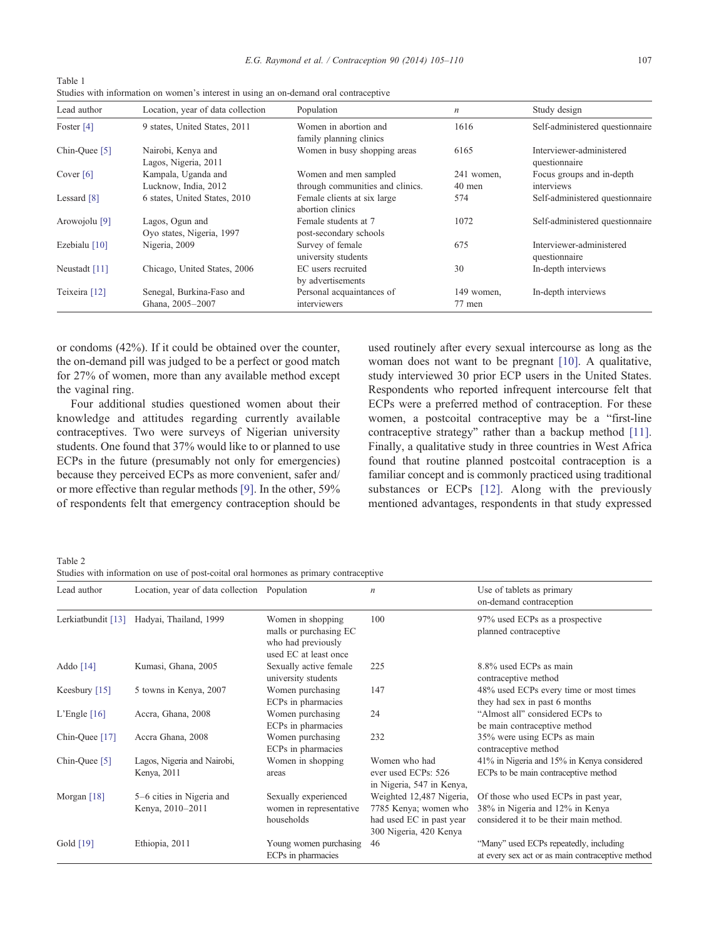| ×<br>I<br>$\sim$ |  |
|------------------|--|

| Table 1                                                                               |  |
|---------------------------------------------------------------------------------------|--|
| Studies with information on women's interest in using an on-demand oral contraceptive |  |
|                                                                                       |  |

| Lead author              | Location, year of data collection             | Population                                                | $\boldsymbol{n}$     | Study design                              |
|--------------------------|-----------------------------------------------|-----------------------------------------------------------|----------------------|-------------------------------------------|
| Foster $[4]$             | 9 states, United States, 2011                 | Women in abortion and<br>family planning clinics          | 1616                 | Self-administered questionnaire           |
| Chin-Quee [5]            | Nairobi, Kenya and<br>Lagos, Nigeria, 2011    | Women in busy shopping areas                              | 6165                 | Interviewer-administered<br>questionnaire |
| Cover $[6]$              | Kampala, Uganda and<br>Lucknow, India, 2012   | Women and men sampled<br>through communities and clinics. | 241 women,<br>40 men | Focus groups and in-depth<br>interviews   |
| Lessard $[8]$            | 6 states, United States, 2010                 | Female clients at six large<br>abortion clinics           | 574                  | Self-administered questionnaire           |
| Arowojolu <sup>[9]</sup> | Lagos, Ogun and<br>Oyo states, Nigeria, 1997  | Female students at 7<br>post-secondary schools            | 1072                 | Self-administered questionnaire           |
| Ezebialu $[10]$          | Nigeria, 2009                                 | Survey of female<br>university students                   | 675                  | Interviewer-administered<br>questionnaire |
| Neustadt [11]            | Chicago, United States, 2006                  | EC users recruited<br>by advertisements                   | 30                   | In-depth interviews                       |
| Teixeira [12]            | Senegal, Burkina-Faso and<br>Ghana, 2005-2007 | Personal acquaintances of<br>interviewers                 | 149 women,<br>77 men | In-depth interviews                       |

or condoms (42%). If it could be obtained over the counter, the on-demand pill was judged to be a perfect or good match for 27% of women, more than any available method except the vaginal ring.

Four additional studies questioned women about their knowledge and attitudes regarding currently available contraceptives. Two were surveys of Nigerian university students. One found that 37% would like to or planned to use ECPs in the future (presumably not only for emergencies) because they perceived ECPs as more convenient, safer and/ or more effective than regular methods [\[9\]](#page-5-0). In the other, 59% of respondents felt that emergency contraception should be used routinely after every sexual intercourse as long as the woman does not want to be pregnant [\[10\].](#page-5-0) A qualitative, study interviewed 30 prior ECP users in the United States. Respondents who reported infrequent intercourse felt that ECPs were a preferred method of contraception. For these women, a postcoital contraceptive may be a "first-line contraceptive strategy" rather than a backup method [\[11\]](#page-5-0). Finally, a qualitative study in three countries in West Africa found that routine planned postcoital contraception is a familiar concept and is commonly practiced using traditional substances or ECPs [\[12\]](#page-5-0). Along with the previously mentioned advantages, respondents in that study expressed

Table 2

<span id="page-2-0"></span> $\overline{1}$   $\overline{1}$   $\overline{1}$ 

Studies with information on use of post-coital oral hormones as primary contraceptive

| Lead author          | Location, year of data collection Population  |                                                                                            | $\boldsymbol{n}$                                                                                        | Use of tablets as primary<br>on-demand contraception                                                              |
|----------------------|-----------------------------------------------|--------------------------------------------------------------------------------------------|---------------------------------------------------------------------------------------------------------|-------------------------------------------------------------------------------------------------------------------|
| Lerkiatbundit $[13]$ | Hadyai, Thailand, 1999                        | Women in shopping<br>malls or purchasing EC<br>who had previously<br>used EC at least once | 100                                                                                                     | 97% used ECPs as a prospective<br>planned contraceptive                                                           |
| Addo $[14]$          | Kumasi, Ghana, 2005                           | Sexually active female<br>university students                                              | 225                                                                                                     | 8.8% used ECPs as main<br>contraceptive method                                                                    |
| Keesbury $[15]$      | 5 towns in Kenya, 2007                        | Women purchasing<br>ECPs in pharmacies                                                     | 147                                                                                                     | 48% used ECPs every time or most times<br>they had sex in past 6 months                                           |
| L'Engle $[16]$       | Accra, Ghana, 2008                            | Women purchasing<br>ECPs in pharmacies                                                     | 24                                                                                                      | "Almost all" considered ECPs to<br>be main contraceptive method                                                   |
| Chin-Quee [17]       | Accra Ghana, 2008                             | Women purchasing<br>ECPs in pharmacies                                                     | 232                                                                                                     | 35% were using ECPs as main<br>contraceptive method                                                               |
| Chin-Quee [5]        | Lagos, Nigeria and Nairobi,<br>Kenya, 2011    | Women in shopping<br>areas                                                                 | Women who had<br>ever used ECPs: 526<br>in Nigeria, 547 in Kenya,                                       | 41% in Nigeria and 15% in Kenya considered<br>ECPs to be main contraceptive method                                |
| Morgan $[18]$        | 5–6 cities in Nigeria and<br>Kenya, 2010-2011 | Sexually experienced<br>women in representative<br>households                              | Weighted 12,487 Nigeria,<br>7785 Kenya; women who<br>had used EC in past year<br>300 Nigeria, 420 Kenya | Of those who used ECPs in past year,<br>38% in Nigeria and 12% in Kenya<br>considered it to be their main method. |
| Gold [19]            | Ethiopia, 2011                                | Young women purchasing<br>ECPs in pharmacies                                               | 46                                                                                                      | "Many" used ECPs repeatedly, including<br>at every sex act or as main contraceptive method                        |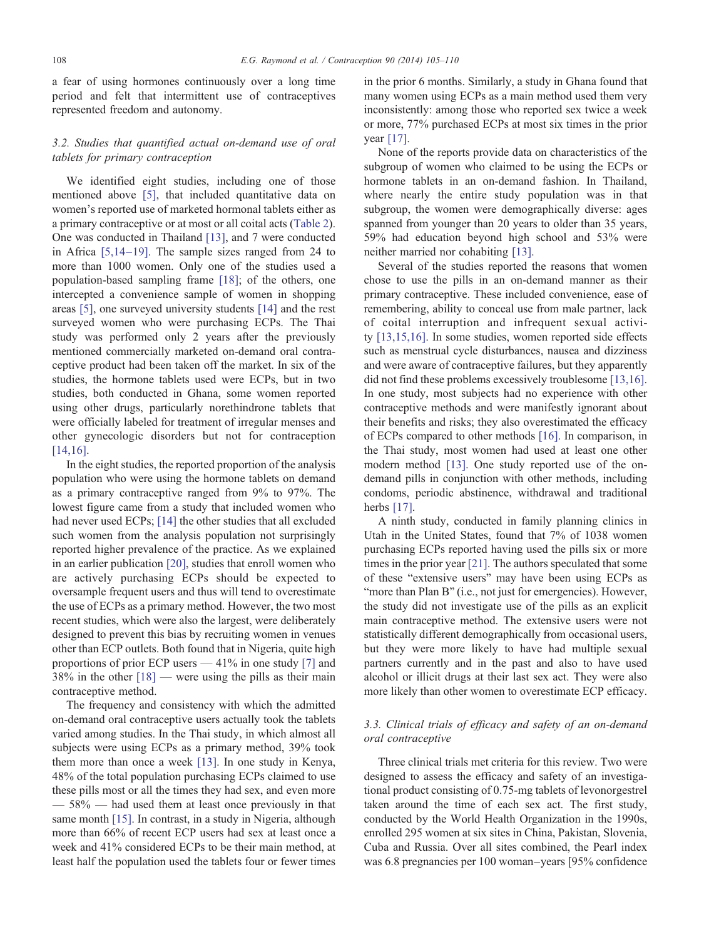a fear of using hormones continuously over a long time period and felt that intermittent use of contraceptives represented freedom and autonomy.

# 3.2. Studies that quantified actual on-demand use of oral tablets for primary contraception

We identified eight studies, including one of those mentioned above [\[5\],](#page-5-0) that included quantitative data on women's reported use of marketed hormonal tablets either as a primary contraceptive or at most or all coital acts ([Table 2](#page-2-0)). One was conducted in Thailand [\[13\]](#page-5-0), and 7 were conducted in Africa [\[5,14](#page-5-0)–19]. The sample sizes ranged from 24 to more than 1000 women. Only one of the studies used a population-based sampling frame [\[18\]](#page-5-0); of the others, one intercepted a convenience sample of women in shopping areas [\[5\],](#page-5-0) one surveyed university students [\[14\]](#page-5-0) and the rest surveyed women who were purchasing ECPs. The Thai study was performed only 2 years after the previously mentioned commercially marketed on-demand oral contraceptive product had been taken off the market. In six of the studies, the hormone tablets used were ECPs, but in two studies, both conducted in Ghana, some women reported using other drugs, particularly norethindrone tablets that were officially labeled for treatment of irregular menses and other gynecologic disorders but not for contraception [\[14,16\].](#page-5-0)

In the eight studies, the reported proportion of the analysis population who were using the hormone tablets on demand as a primary contraceptive ranged from 9% to 97%. The lowest figure came from a study that included women who had never used ECPs; [\[14\]](#page-5-0) the other studies that all excluded such women from the analysis population not surprisingly reported higher prevalence of the practice. As we explained in an earlier publication [\[20\],](#page-5-0) studies that enroll women who are actively purchasing ECPs should be expected to oversample frequent users and thus will tend to overestimate the use of ECPs as a primary method. However, the two most recent studies, which were also the largest, were deliberately designed to prevent this bias by recruiting women in venues other than ECP outlets. Both found that in Nigeria, quite high proportions of prior ECP users — 41% in one study [\[7\]](#page-5-0) and  $38\%$  in the other  $[18]$  — were using the pills as their main contraceptive method.

The frequency and consistency with which the admitted on-demand oral contraceptive users actually took the tablets varied among studies. In the Thai study, in which almost all subjects were using ECPs as a primary method, 39% took them more than once a week [\[13\].](#page-5-0) In one study in Kenya, 48% of the total population purchasing ECPs claimed to use these pills most or all the times they had sex, and even more — 58% — had used them at least once previously in that same month [\[15\]](#page-5-0). In contrast, in a study in Nigeria, although more than 66% of recent ECP users had sex at least once a week and 41% considered ECPs to be their main method, at least half the population used the tablets four or fewer times

in the prior 6 months. Similarly, a study in Ghana found that many women using ECPs as a main method used them very inconsistently: among those who reported sex twice a week or more, 77% purchased ECPs at most six times in the prior year [\[17\]](#page-5-0).

None of the reports provide data on characteristics of the subgroup of women who claimed to be using the ECPs or hormone tablets in an on-demand fashion. In Thailand, where nearly the entire study population was in that subgroup, the women were demographically diverse: ages spanned from younger than 20 years to older than 35 years, 59% had education beyond high school and 53% were neither married nor cohabiting [\[13\]](#page-5-0).

Several of the studies reported the reasons that women chose to use the pills in an on-demand manner as their primary contraceptive. These included convenience, ease of remembering, ability to conceal use from male partner, lack of coital interruption and infrequent sexual activity [\[13,15,16\]](#page-5-0). In some studies, women reported side effects such as menstrual cycle disturbances, nausea and dizziness and were aware of contraceptive failures, but they apparently did not find these problems excessively troublesome [\[13,16\].](#page-5-0) In one study, most subjects had no experience with other contraceptive methods and were manifestly ignorant about their benefits and risks; they also overestimated the efficacy of ECPs compared to other methods [\[16\].](#page-5-0) In comparison, in the Thai study, most women had used at least one other modern method [\[13\].](#page-5-0) One study reported use of the ondemand pills in conjunction with other methods, including condoms, periodic abstinence, withdrawal and traditional herbs [\[17\].](#page-5-0)

A ninth study, conducted in family planning clinics in Utah in the United States, found that 7% of 1038 women purchasing ECPs reported having used the pills six or more times in the prior year [\[21\]](#page-5-0). The authors speculated that some of these "extensive users" may have been using ECPs as "more than Plan B" (i.e., not just for emergencies). However, the study did not investigate use of the pills as an explicit main contraceptive method. The extensive users were not statistically different demographically from occasional users, but they were more likely to have had multiple sexual partners currently and in the past and also to have used alcohol or illicit drugs at their last sex act. They were also more likely than other women to overestimate ECP efficacy.

# 3.3. Clinical trials of efficacy and safety of an on-demand oral contraceptive

Three clinical trials met criteria for this review. Two were designed to assess the efficacy and safety of an investigational product consisting of 0.75-mg tablets of levonorgestrel taken around the time of each sex act. The first study, conducted by the World Health Organization in the 1990s, enrolled 295 women at six sites in China, Pakistan, Slovenia, Cuba and Russia. Over all sites combined, the Pearl index was 6.8 pregnancies per 100 woman–years [95% confidence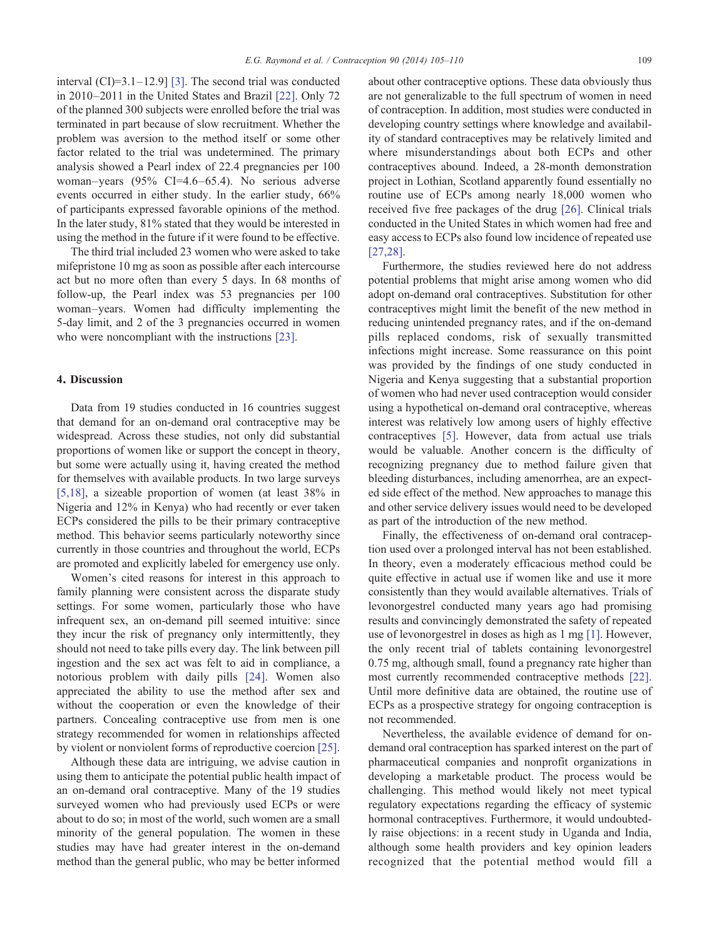interval (CI)=3.1–12.9] [\[3\].](#page-5-0) The second trial was conducted in 2010–2011 in the United States and Brazil [\[22\].](#page-5-0) Only 72 of the planned 300 subjects were enrolled before the trial was terminated in part because of slow recruitment. Whether the problem was aversion to the method itself or some other factor related to the trial was undetermined. The primary analysis showed a Pearl index of 22.4 pregnancies per 100 woman–years (95% CI=4.6–65.4). No serious adverse events occurred in either study. In the earlier study, 66% of participants expressed favorable opinions of the method. In the later study, 81% stated that they would be interested in using the method in the future if it were found to be effective.

The third trial included 23 women who were asked to take mifepristone 10 mg as soon as possible after each intercourse act but no more often than every 5 days. In 68 months of follow-up, the Pearl index was 53 pregnancies per 100 woman–years. Women had difficulty implementing the 5-day limit, and 2 of the 3 pregnancies occurred in women who were noncompliant with the instructions [\[23\].](#page-5-0)

## 4. Discussion

Data from 19 studies conducted in 16 countries suggest that demand for an on-demand oral contraceptive may be widespread. Across these studies, not only did substantial proportions of women like or support the concept in theory, but some were actually using it, having created the method for themselves with available products. In two large surveys [\[5,18\],](#page-5-0) a sizeable proportion of women (at least 38% in Nigeria and 12% in Kenya) who had recently or ever taken ECPs considered the pills to be their primary contraceptive method. This behavior seems particularly noteworthy since currently in those countries and throughout the world, ECPs are promoted and explicitly labeled for emergency use only.

Women's cited reasons for interest in this approach to family planning were consistent across the disparate study settings. For some women, particularly those who have infrequent sex, an on-demand pill seemed intuitive: since they incur the risk of pregnancy only intermittently, they should not need to take pills every day. The link between pill ingestion and the sex act was felt to aid in compliance, a notorious problem with daily pills [\[24\].](#page-5-0) Women also appreciated the ability to use the method after sex and without the cooperation or even the knowledge of their partners. Concealing contraceptive use from men is one strategy recommended for women in relationships affected by violent or nonviolent forms of reproductive coercion [\[25\]](#page-5-0).

Although these data are intriguing, we advise caution in using them to anticipate the potential public health impact of an on-demand oral contraceptive. Many of the 19 studies surveyed women who had previously used ECPs or were about to do so; in most of the world, such women are a small minority of the general population. The women in these studies may have had greater interest in the on-demand method than the general public, who may be better informed about other contraceptive options. These data obviously thus are not generalizable to the full spectrum of women in need of contraception. In addition, most studies were conducted in developing country settings where knowledge and availability of standard contraceptives may be relatively limited and where misunderstandings about both ECPs and other contraceptives abound. Indeed, a 28-month demonstration project in Lothian, Scotland apparently found essentially no routine use of ECPs among nearly 18,000 women who received five free packages of the drug [\[26\].](#page-5-0) Clinical trials conducted in the United States in which women had free and easy access to ECPs also found low incidence of repeated use [\[27,28\].](#page-5-0)

Furthermore, the studies reviewed here do not address potential problems that might arise among women who did adopt on-demand oral contraceptives. Substitution for other contraceptives might limit the benefit of the new method in reducing unintended pregnancy rates, and if the on-demand pills replaced condoms, risk of sexually transmitted infections might increase. Some reassurance on this point was provided by the findings of one study conducted in Nigeria and Kenya suggesting that a substantial proportion of women who had never used contraception would consider using a hypothetical on-demand oral contraceptive, whereas interest was relatively low among users of highly effective contraceptives [\[5\].](#page-5-0) However, data from actual use trials would be valuable. Another concern is the difficulty of recognizing pregnancy due to method failure given that bleeding disturbances, including amenorrhea, are an expected side effect of the method. New approaches to manage this and other service delivery issues would need to be developed as part of the introduction of the new method.

Finally, the effectiveness of on-demand oral contraception used over a prolonged interval has not been established. In theory, even a moderately efficacious method could be quite effective in actual use if women like and use it more consistently than they would available alternatives. Trials of levonorgestrel conducted many years ago had promising results and convincingly demonstrated the safety of repeated use of levonorgestrel in doses as high as 1 mg [\[1\]](#page-5-0). However, the only recent trial of tablets containing levonorgestrel 0.75 mg, although small, found a pregnancy rate higher than most currently recommended contraceptive methods [\[22\]](#page-5-0). Until more definitive data are obtained, the routine use of ECPs as a prospective strategy for ongoing contraception is not recommended.

Nevertheless, the available evidence of demand for ondemand oral contraception has sparked interest on the part of pharmaceutical companies and nonprofit organizations in developing a marketable product. The process would be challenging. This method would likely not meet typical regulatory expectations regarding the efficacy of systemic hormonal contraceptives. Furthermore, it would undoubtedly raise objections: in a recent study in Uganda and India, although some health providers and key opinion leaders recognized that the potential method would fill a